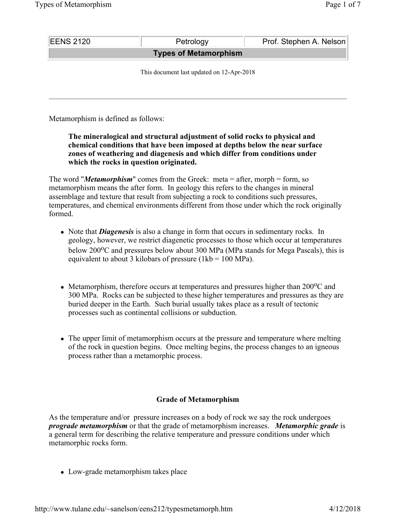| <b>EENS 2120</b>                          | Petrology | Prof. Stephen A. Nelson |
|-------------------------------------------|-----------|-------------------------|
| <b>Types of Metamorphism</b>              |           |                         |
| This document last updated on 12-Apr-2018 |           |                         |
|                                           |           |                         |

Metamorphism is defined as follows:

### **The mineralogical and structural adjustment of solid rocks to physical and chemical conditions that have been imposed at depths below the near surface zones of weathering and diagenesis and which differ from conditions under which the rocks in question originated.**

The word "*Metamorphism*" comes from the Greek: meta = after, morph = form, so metamorphism means the after form. In geology this refers to the changes in mineral assemblage and texture that result from subjecting a rock to conditions such pressures, temperatures, and chemical environments different from those under which the rock originally formed.

- Note that *Diagenesis* is also a change in form that occurs in sedimentary rocks. In geology, however, we restrict diagenetic processes to those which occur at temperatures below 200 $\rm{^{\circ}C}$  and pressures below about 300 MPa (MPa stands for Mega Pascals), this is equivalent to about 3 kilobars of pressure  $(1kb = 100 MPa)$ .
- Metamorphism, therefore occurs at temperatures and pressures higher than  $200^{\circ}$ C and 300 MPa. Rocks can be subjected to these higher temperatures and pressures as they are buried deeper in the Earth. Such burial usually takes place as a result of tectonic processes such as continental collisions or subduction.
- The upper limit of metamorphism occurs at the pressure and temperature where melting of the rock in question begins. Once melting begins, the process changes to an igneous process rather than a metamorphic process.

# **Grade of Metamorphism**

As the temperature and/or pressure increases on a body of rock we say the rock undergoes *prograde metamorphism* or that the grade of metamorphism increases. *Metamorphic grade* is a general term for describing the relative temperature and pressure conditions under which metamorphic rocks form.

• Low-grade metamorphism takes place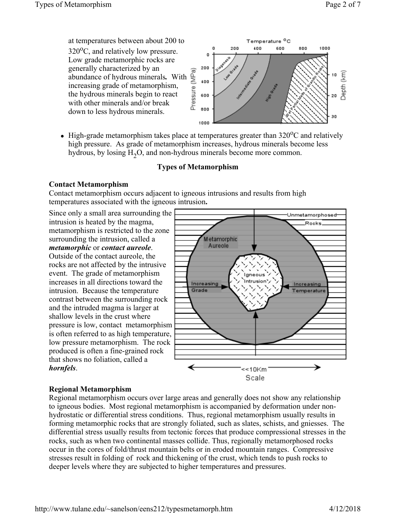

• High-grade metamorphism takes place at temperatures greater than  $320^{\circ}$ C and relatively high pressure. As grade of metamorphism increases, hydrous minerals become less hydrous, by losing H<sub>2</sub>O, and non-hydrous minerals become more common.

# **Types of Metamorphism**

### **Contact Metamorphism**

Contact metamorphism occurs adjacent to igneous intrusions and results from high temperatures associated with the igneous intrusion**.**

Since only a small area surrounding the intrusion is heated by the magma, metamorphism is restricted to the zone surrounding the intrusion, called a *metamorphic* or *contact aureole*.

Outside of the contact aureole, the rocks are not affected by the intrusive event. The grade of metamorphism increases in all directions toward the intrusion. Because the temperature contrast between the surrounding rock and the intruded magma is larger at shallow levels in the crust where pressure is low, contact metamorphism is often referred to as high temperature, low pressure metamorphism. The rock produced is often a fine-grained rock that shows no foliation, called a *hornfels*.



# **Regional Metamorphism**

Regional metamorphism occurs over large areas and generally does not show any relationship to igneous bodies. Most regional metamorphism is accompanied by deformation under nonhydrostatic or differential stress conditions. Thus, regional metamorphism usually results in forming metamorphic rocks that are strongly foliated, such as slates, schists, and gniesses. The differential stress usually results from tectonic forces that produce compressional stresses in the rocks, such as when two continental masses collide. Thus, regionally metamorphosed rocks occur in the cores of fold/thrust mountain belts or in eroded mountain ranges. Compressive stresses result in folding of rock and thickening of the crust, which tends to push rocks to deeper levels where they are subjected to higher temperatures and pressures.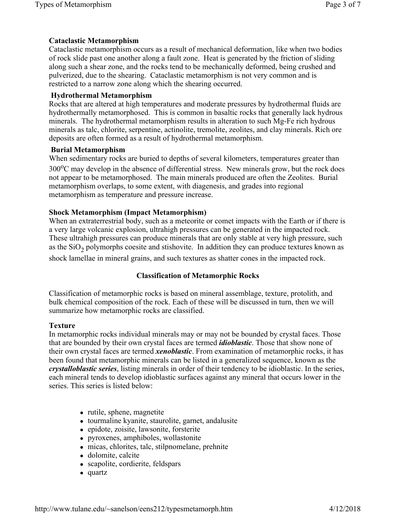### **Cataclastic Metamorphism**

Cataclastic metamorphism occurs as a result of mechanical deformation, like when two bodies of rock slide past one another along a fault zone. Heat is generated by the friction of sliding along such a shear zone, and the rocks tend to be mechanically deformed, being crushed and pulverized, due to the shearing. Cataclastic metamorphism is not very common and is restricted to a narrow zone along which the shearing occurred.

#### **Hydrothermal Metamorphism**

Rocks that are altered at high temperatures and moderate pressures by hydrothermal fluids are hydrothermally metamorphosed. This is common in basaltic rocks that generally lack hydrous minerals. The hydrothermal metamorphism results in alteration to such Mg-Fe rich hydrous minerals as talc, chlorite, serpentine, actinolite, tremolite, zeolites, and clay minerals. Rich ore deposits are often formed as a result of hydrothermal metamorphism.

#### **Burial Metamorphism**

When sedimentary rocks are buried to depths of several kilometers, temperatures greater than  $300^{\circ}$ C may develop in the absence of differential stress. New minerals grow, but the rock does not appear to be metamorphosed. The main minerals produced are often the Zeolites. Burial metamorphism overlaps, to some extent, with diagenesis, and grades into regional metamorphism as temperature and pressure increase.

#### **Shock Metamorphism (Impact Metamorphism)**

When an extraterrestrial body, such as a meteorite or comet impacts with the Earth or if there is a very large volcanic explosion, ultrahigh pressures can be generated in the impacted rock. These ultrahigh pressures can produce minerals that are only stable at very high pressure, such as the  $SiO<sub>2</sub>$  polymorphs coesite and stishovite. In addition they can produce textures known as

shock lamellae in mineral grains, and such textures as shatter cones in the impacted rock.

#### **Classification of Metamorphic Rocks**

Classification of metamorphic rocks is based on mineral assemblage, texture, protolith, and bulk chemical composition of the rock. Each of these will be discussed in turn, then we will summarize how metamorphic rocks are classified.

#### **Texture**

In metamorphic rocks individual minerals may or may not be bounded by crystal faces. Those that are bounded by their own crystal faces are termed *idioblastic*. Those that show none of their own crystal faces are termed *xenoblastic*. From examination of metamorphic rocks, it has been found that metamorphic minerals can be listed in a generalized sequence, known as the *crystalloblastic series*, listing minerals in order of their tendency to be idioblastic. In the series, each mineral tends to develop idioblastic surfaces against any mineral that occurs lower in the series. This series is listed below:

- $\bullet$  rutile, sphene, magnetite
- $\bullet$  tourmaline kyanite, staurolite, garnet, andalusite
- epidote, zoisite, lawsonite, forsterite
- pyroxenes, amphiboles, wollastonite
- micas, chlorites, talc, stilpnomelane, prehnite
- dolomite, calcite
- scapolite, cordierite, feldspars
- quartz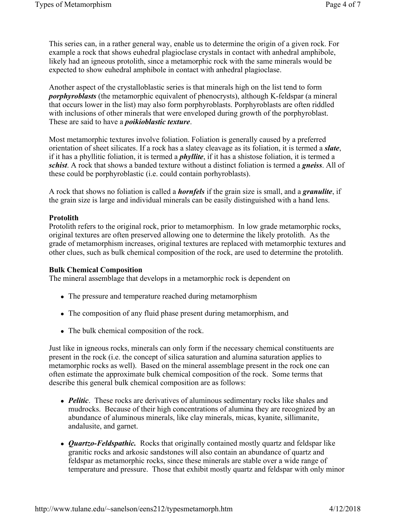This series can, in a rather general way, enable us to determine the origin of a given rock. For example a rock that shows euhedral plagioclase crystals in contact with anhedral amphibole, likely had an igneous protolith, since a metamorphic rock with the same minerals would be expected to show euhedral amphibole in contact with anhedral plagioclase.

Another aspect of the crystalloblastic series is that minerals high on the list tend to form *porphyroblasts* (the metamorphic equivalent of phenocrysts), although K-feldspar (a mineral that occurs lower in the list) may also form porphyroblasts. Porphyroblasts are often riddled with inclusions of other minerals that were enveloped during growth of the porphyroblast. These are said to have a *poikioblastic texture*.

Most metamorphic textures involve foliation. Foliation is generally caused by a preferred orientation of sheet silicates. If a rock has a slatey cleavage as its foliation, it is termed a *slate*, if it has a phyllitic foliation, it is termed a *phyllite*, if it has a shistose foliation, it is termed a *schist*. A rock that shows a banded texture without a distinct foliation is termed a *gneiss*. All of these could be porphyroblastic (i.e. could contain porhyroblasts).

A rock that shows no foliation is called a *hornfels* if the grain size is small, and a *granulite*, if the grain size is large and individual minerals can be easily distinguished with a hand lens.

#### **Protolith**

Protolith refers to the original rock, prior to metamorphism. In low grade metamorphic rocks, original textures are often preserved allowing one to determine the likely protolith. As the grade of metamorphism increases, original textures are replaced with metamorphic textures and other clues, such as bulk chemical composition of the rock, are used to determine the protolith.

#### **Bulk Chemical Composition**

The mineral assemblage that develops in a metamorphic rock is dependent on

- The pressure and temperature reached during metamorphism
- The composition of any fluid phase present during metamorphism, and
- The bulk chemical composition of the rock.

Just like in igneous rocks, minerals can only form if the necessary chemical constituents are present in the rock (i.e. the concept of silica saturation and alumina saturation applies to metamorphic rocks as well). Based on the mineral assemblage present in the rock one can often estimate the approximate bulk chemical composition of the rock. Some terms that describe this general bulk chemical composition are as follows:

- *Pelitic*. These rocks are derivatives of aluminous sedimentary rocks like shales and mudrocks. Because of their high concentrations of alumina they are recognized by an abundance of aluminous minerals, like clay minerals, micas, kyanite, sillimanite, andalusite, and garnet.
- *Quartzo-Feldspathic.* Rocks that originally contained mostly quartz and feldspar like granitic rocks and arkosic sandstones will also contain an abundance of quartz and feldspar as metamorphic rocks, since these minerals are stable over a wide range of temperature and pressure. Those that exhibit mostly quartz and feldspar with only minor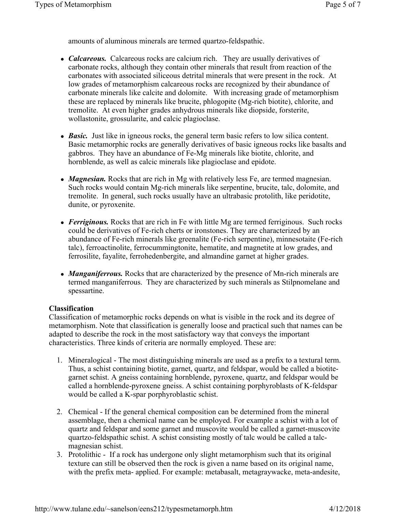amounts of aluminous minerals are termed quartzo-feldspathic.

- *Calcareous.* Calcareous rocks are calcium rich. They are usually derivatives of carbonate rocks, although they contain other minerals that result from reaction of the carbonates with associated siliceous detrital minerals that were present in the rock. At low grades of metamorphism calcareous rocks are recognized by their abundance of carbonate minerals like calcite and dolomite. With increasing grade of metamorphism these are replaced by minerals like brucite, phlogopite (Mg-rich biotite), chlorite, and tremolite. At even higher grades anhydrous minerals like diopside, forsterite, wollastonite, grossularite, and calcic plagioclase.
- *Basic*. Just like in igneous rocks, the general term basic refers to low silica content. Basic metamorphic rocks are generally derivatives of basic igneous rocks like basalts and gabbros. They have an abundance of Fe-Mg minerals like biotite, chlorite, and hornblende, as well as calcic minerals like plagioclase and epidote.
- *Magnesian*. Rocks that are rich in Mg with relatively less Fe, are termed magnesian. Such rocks would contain Mg-rich minerals like serpentine, brucite, talc, dolomite, and tremolite. In general, such rocks usually have an ultrabasic protolith, like peridotite, dunite, or pyroxenite.
- *Ferriginous.* Rocks that are rich in Fe with little Mg are termed ferriginous. Such rocks could be derivatives of Fe-rich cherts or ironstones. They are characterized by an abundance of Fe-rich minerals like greenalite (Fe-rich serpentine), minnesotaite (Fe-rich talc), ferroactinolite, ferrocummingtonite, hematite, and magnetite at low grades, and ferrosilite, fayalite, ferrohedenbergite, and almandine garnet at higher grades.
- *Manganiferrous.* Rocks that are characterized by the presence of Mn-rich minerals are termed manganiferrous. They are characterized by such minerals as Stilpnomelane and spessartine.

#### **Classification**

Classification of metamorphic rocks depends on what is visible in the rock and its degree of metamorphism. Note that classification is generally loose and practical such that names can be adapted to describe the rock in the most satisfactory way that conveys the important characteristics. Three kinds of criteria are normally employed. These are:

- 1. Mineralogical The most distinguishing minerals are used as a prefix to a textural term. Thus, a schist containing biotite, garnet, quartz, and feldspar, would be called a biotitegarnet schist. A gneiss containing hornblende, pyroxene, quartz, and feldspar would be called a hornblende-pyroxene gneiss. A schist containing porphyroblasts of K-feldspar would be called a K-spar porphyroblastic schist.
- 2. Chemical If the general chemical composition can be determined from the mineral assemblage, then a chemical name can be employed. For example a schist with a lot of quartz and feldspar and some garnet and muscovite would be called a garnet-muscovite quartzo-feldspathic schist. A schist consisting mostly of talc would be called a talcmagnesian schist.
- 3. Protolithic If a rock has undergone only slight metamorphism such that its original texture can still be observed then the rock is given a name based on its original name, with the prefix meta- applied. For example: metabasalt, metagraywacke, meta-andesite,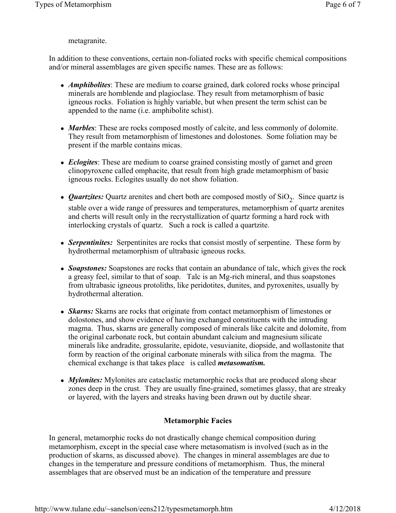### metagranite.

In addition to these conventions, certain non-foliated rocks with specific chemical compositions and/or mineral assemblages are given specific names. These are as follows:

- *Amphibolites*: These are medium to coarse grained, dark colored rocks whose principal minerals are hornblende and plagioclase. They result from metamorphism of basic igneous rocks. Foliation is highly variable, but when present the term schist can be appended to the name (i.e. amphibolite schist).
- *Marbles*: These are rocks composed mostly of calcite, and less commonly of dolomite. They result from metamorphism of limestones and dolostones. Some foliation may be present if the marble contains micas.
- *Eclogites*: These are medium to coarse grained consisting mostly of garnet and green clinopyroxene called omphacite, that result from high grade metamorphism of basic igneous rocks. Eclogites usually do not show foliation.
- *Quartzites:* Quartz arenites and chert both are composed mostly of  $SiO<sub>2</sub>$ . Since quartz is stable over a wide range of pressures and temperatures, metamorphism of quartz arenites and cherts will result only in the recrystallization of quartz forming a hard rock with interlocking crystals of quartz. Such a rock is called a quartzite.
- **Serpentinites:** Serpentinites are rocks that consist mostly of serpentine. These form by hydrothermal metamorphism of ultrabasic igneous rocks.
- *Soapstones:* Soapstones are rocks that contain an abundance of talc, which gives the rock a greasy feel, similar to that of soap. Talc is an Mg-rich mineral, and thus soapstones from ultrabasic igneous protoliths, like peridotites, dunites, and pyroxenites, usually by hydrothermal alteration.
- *Skarns:* Skarns are rocks that originate from contact metamorphism of limestones or dolostones, and show evidence of having exchanged constituents with the intruding magma. Thus, skarns are generally composed of minerals like calcite and dolomite, from the original carbonate rock, but contain abundant calcium and magnesium silicate minerals like andradite, grossularite, epidote, vesuvianite, diopside, and wollastonite that form by reaction of the original carbonate minerals with silica from the magma. The chemical exchange is that takes place is called *metasomatism.*
- *Mylonites:* Mylonites are cataclastic metamorphic rocks that are produced along shear zones deep in the crust. They are usually fine-grained, sometimes glassy, that are streaky or layered, with the layers and streaks having been drawn out by ductile shear.

# **Metamorphic Facies**

In general, metamorphic rocks do not drastically change chemical composition during metamorphism, except in the special case where metasomatism is involved (such as in the production of skarns, as discussed above). The changes in mineral assemblages are due to changes in the temperature and pressure conditions of metamorphism. Thus, the mineral assemblages that are observed must be an indication of the temperature and pressure